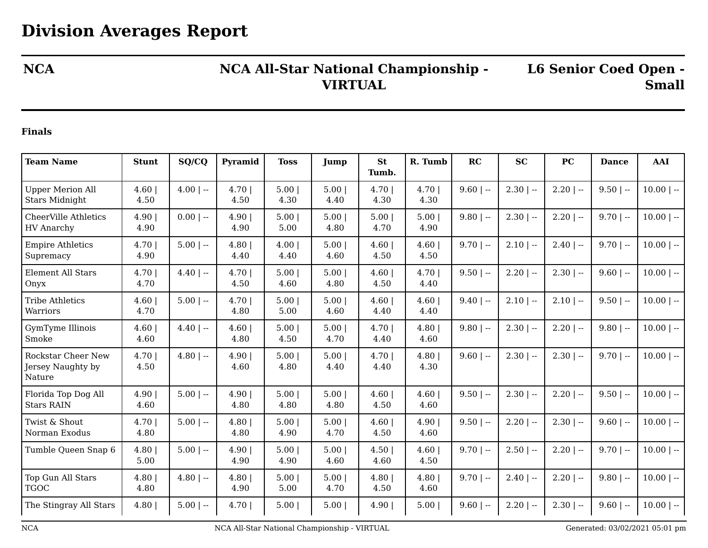## **NCA NCA All-Star National Championship - VIRTUAL**

**L6 Senior Coed Open - Small**

## **Finals**

| <b>Team Name</b>                                         | <b>Stunt</b>  | SQ/CQ        | Pyramid      | <b>Toss</b>  | Jump         | <b>St</b><br>Tumb. | R. Tumb        | RC          | <b>SC</b>    | <b>PC</b>    | <b>Dance</b> | AAI          |
|----------------------------------------------------------|---------------|--------------|--------------|--------------|--------------|--------------------|----------------|-------------|--------------|--------------|--------------|--------------|
| <b>Upper Merion All</b><br><b>Stars Midnight</b>         | 4.60<br>4.50  | $4.00$   --  | 4.70<br>4.50 | 5.00<br>4.30 | 5.00<br>4.40 | 4.70<br>4.30       | 4.70<br>4.30   | $9.60$   -- | $2.30$   --  | $2.20$   --  | $9.50$   --  | $10.00$   -- |
| <b>CheerVille Athletics</b><br><b>HV</b> Anarchy         | 4.90 <br>4.90 | $0.00$   --  | 4.90<br>4.90 | 5.00<br>5.00 | 5.00<br>4.80 | 5.00<br>4.70       | 5.00<br>4.90   | $9.80$   -- | $2.30$   $-$ | $2.20$   $-$ | $9.70$   --  | $10.00$   -- |
| <b>Empire Athletics</b><br>Supremacy                     | 4.70 <br>4.90 | $5.00$   --  | 4.80<br>4.40 | 4.00<br>4.40 | 5.00<br>4.60 | 4.60<br>4.50       | 4.60<br>4.50   | $9.70$   -- | $2.10$   $-$ | $2.40$   $-$ | $9.70$   --  | $10.00$   -- |
| <b>Element All Stars</b><br>Onyx                         | 4.70 <br>4.70 | $4.40$   $-$ | 4.70<br>4.50 | 5.00<br>4.60 | 5.00<br>4.80 | 4.60<br>4.50       | 4.70<br>4.40   | $9.50$   -- | $2.20$   $-$ | $2.30$   $-$ | $9.60$   --  | $10.00$   -- |
| <b>Tribe Athletics</b><br>Warriors                       | 4.60 <br>4.70 | $5.00$   --  | 4.70<br>4.80 | 5.00<br>5.00 | 5.00<br>4.60 | 4.60<br>4.40       | 4.60<br>4.40   | $9.40$   -- | $2.10$   $-$ | $2.10$   --  | $9.50$   --  | $10.00$   -- |
| GymTyme Illinois<br>Smoke                                | 4.60<br>4.60  | $4.40$   $-$ | 4.60<br>4.80 | 5.00<br>4.50 | 5.00<br>4.70 | 4.70<br>4.40       | 4.80<br>4.60   | $9.80$   -- | $2.30$   --  | $2.20$   --  | $9.80$   --  | $10.00$   -- |
| <b>Rockstar Cheer New</b><br>Jersey Naughty by<br>Nature | 4.70<br>4.50  | $4.80$   $-$ | 4.90<br>4.60 | 5.00<br>4.80 | 5.00<br>4.40 | 4.70<br>4.40       | 4.80<br>4.30   | $9.60$   -- | $2.30$   --  | $2.30$   --  | $9.70$   --  | $10.00$   -- |
| Florida Top Dog All<br><b>Stars RAIN</b>                 | 4.90<br>4.60  | $5.00$   --  | 4.90<br>4.80 | 5.00<br>4.80 | 5.00<br>4.80 | 4.60<br>4.50       | 4.60<br>4.60   | $9.50$   -- | $2.30$   $-$ | $2.20$   $-$ | $9.50$   --  | $10.00$   -- |
| Twist & Shout<br>Norman Exodus                           | 4.70 <br>4.80 | $5.00$   --  | 4.80<br>4.80 | 5.00<br>4.90 | 5.00<br>4.70 | 4.60<br>4.50       | 4.90  <br>4.60 | $9.50$   -- | $2.20$   $-$ | $2.30$   $-$ | $9.60$   --  | $10.00$   -- |
| Tumble Queen Snap 6                                      | 4.80<br>5.00  | $5.00$   --  | 4.90<br>4.90 | 5.00<br>4.90 | 5.00<br>4.60 | 4.50<br>4.60       | 4.60<br>4.50   | $9.70$   -- | $2.50$   $-$ | $2.20$   --  | $9.70$   --  | $10.00$   -- |
| Top Gun All Stars<br><b>TGOC</b>                         | 4.80<br>4.80  | $4.80$   --  | 4.80<br>4.90 | 5.00<br>5.00 | 5.00<br>4.70 | 4.80<br>4.50       | 4.80<br>4.60   | $9.70$   -- | $2.40$   $-$ | $2.20$   --  | $9.80$   --  | $10.00$   -- |
| The Stingray All Stars                                   | 4.80          | $5.00$   --  | 4.70         | 5.00         | 5.00         | 4.90               | 5.00           | $9.60$   -- | $2.20$   $-$ | $2.30$   --  | $9.60$   --  | $10.00$   -- |